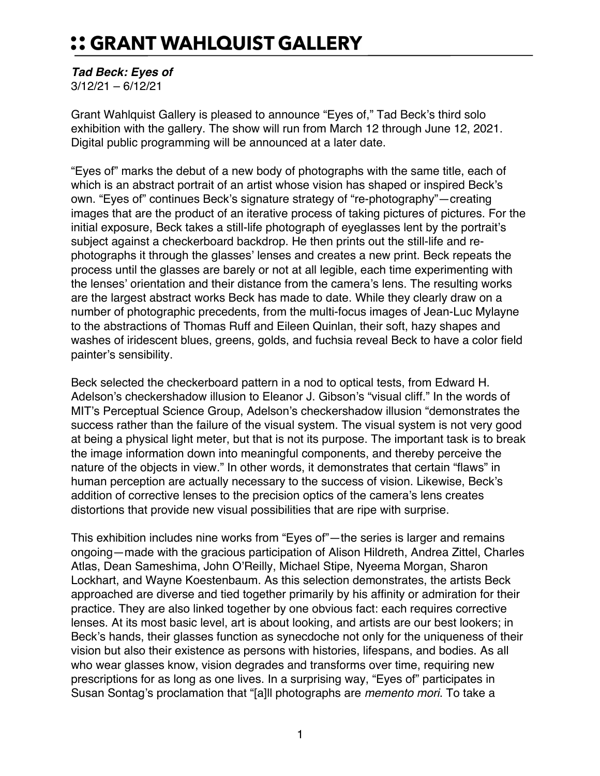## :: GRANT WAHLQUIST GALLERY

## *Tad Beck: Eyes of*

3/12/21 – 6/12/21

Grant Wahlquist Gallery is pleased to announce "Eyes of," Tad Beck's third solo exhibition with the gallery. The show will run from March 12 through June 12, 2021. Digital public programming will be announced at a later date.

"Eyes of" marks the debut of a new body of photographs with the same title, each of which is an abstract portrait of an artist whose vision has shaped or inspired Beck's own. "Eyes of" continues Beck's signature strategy of "re-photography"—creating images that are the product of an iterative process of taking pictures of pictures. For the initial exposure, Beck takes a still-life photograph of eyeglasses lent by the portrait's subject against a checkerboard backdrop. He then prints out the still-life and rephotographs it through the glasses' lenses and creates a new print. Beck repeats the process until the glasses are barely or not at all legible, each time experimenting with the lenses' orientation and their distance from the camera's lens. The resulting works are the largest abstract works Beck has made to date. While they clearly draw on a number of photographic precedents, from the multi-focus images of Jean-Luc Mylayne to the abstractions of Thomas Ruff and Eileen Quinlan, their soft, hazy shapes and washes of iridescent blues, greens, golds, and fuchsia reveal Beck to have a color field painter's sensibility.

Beck selected the checkerboard pattern in a nod to optical tests, from Edward H. Adelson's checkershadow illusion to Eleanor J. Gibson's "visual cliff." In the words of MIT's Perceptual Science Group, Adelson's checkershadow illusion "demonstrates the success rather than the failure of the visual system. The visual system is not very good at being a physical light meter, but that is not its purpose. The important task is to break the image information down into meaningful components, and thereby perceive the nature of the objects in view." In other words, it demonstrates that certain "flaws" in human perception are actually necessary to the success of vision. Likewise, Beck's addition of corrective lenses to the precision optics of the camera's lens creates distortions that provide new visual possibilities that are ripe with surprise.

This exhibition includes nine works from "Eyes of"—the series is larger and remains ongoing—made with the gracious participation of Alison Hildreth, Andrea Zittel, Charles Atlas, Dean Sameshima, John O'Reilly, Michael Stipe, Nyeema Morgan, Sharon Lockhart, and Wayne Koestenbaum. As this selection demonstrates, the artists Beck approached are diverse and tied together primarily by his affinity or admiration for their practice. They are also linked together by one obvious fact: each requires corrective lenses. At its most basic level, art is about looking, and artists are our best lookers; in Beck's hands, their glasses function as synecdoche not only for the uniqueness of their vision but also their existence as persons with histories, lifespans, and bodies. As all who wear glasses know, vision degrades and transforms over time, requiring new prescriptions for as long as one lives. In a surprising way, "Eyes of" participates in Susan Sontag's proclamation that "[a]ll photographs are *memento mori*. To take a